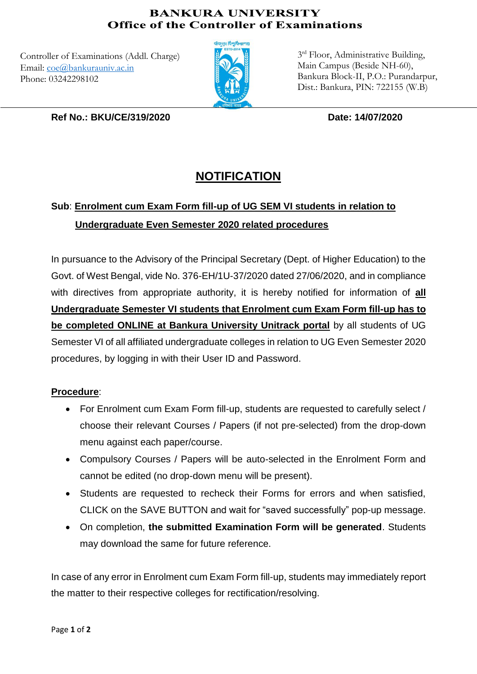## **BANKURA UNIVERSITY Office of the Controller of Examinations**

Controller of Examinations (Addl. Charge) Email: [coe@bankurauniv.ac.in](mailto:coe@bankurauniv.ac.in) Phone: 03242298102



3rd Floor, Administrative Building, Main Campus (Beside NH-60), Bankura Block-II, P.O.: Purandarpur, Dist.: Bankura, PIN: 722155 (W.B)

**Ref No.: BKU/CE/319/2020 Date: 14/07/2020**

## **NOTIFICATION**

## **Sub**: **Enrolment cum Exam Form fill-up of UG SEM VI students in relation to Undergraduate Even Semester 2020 related procedures**

In pursuance to the Advisory of the Principal Secretary (Dept. of Higher Education) to the Govt. of West Bengal, vide No. 376-EH/1U-37/2020 dated 27/06/2020, and in compliance with directives from appropriate authority, it is hereby notified for information of **all Undergraduate Semester VI students that Enrolment cum Exam Form fill-up has to be completed ONLINE at Bankura University Unitrack portal** by all students of UG Semester VI of all affiliated undergraduate colleges in relation to UG Even Semester 2020 procedures, by logging in with their User ID and Password.

## **Procedure**:

- For Enrolment cum Exam Form fill-up, students are requested to carefully select / choose their relevant Courses / Papers (if not pre-selected) from the drop-down menu against each paper/course.
- Compulsory Courses / Papers will be auto-selected in the Enrolment Form and cannot be edited (no drop-down menu will be present).
- Students are requested to recheck their Forms for errors and when satisfied, CLICK on the SAVE BUTTON and wait for "saved successfully" pop-up message.
- On completion, **the submitted Examination Form will be generated**. Students may download the same for future reference.

In case of any error in Enrolment cum Exam Form fill-up, students may immediately report the matter to their respective colleges for rectification/resolving.